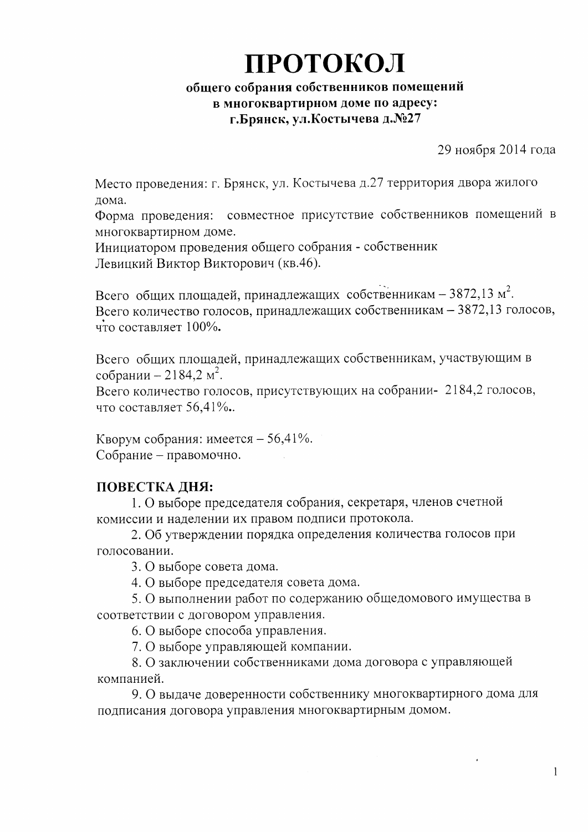# ПРОТОКОЛ

#### общего собрания собственников помещений в многоквартирном доме по адресу: г.Брянск, ул.Костычева д.№27

29 ноября 2014 года

Место проведения: г. Брянск, ул. Костычева д.27 территория двора жилого дома.

Форма проведения: совместное присутствие собственников помещений в многоквартирном доме.

Инициатором проведения общего собрания - собственник Левицкий Виктор Викторович (кв.46).

Всего общих площадей, принадлежащих собственникам - 3872,13 м<sup>2</sup>. Всего количество голосов, принадлежащих собственникам - 3872,13 голосов, что составляет 100%.

Всего общих площадей, принадлежащих собственникам, участвующим в собрании – 2184,2 м<sup>2</sup>.

Всего количество голосов, присутствующих на собрании- 2184,2 голосов, что составляет 56,41%.

Кворум собрания: имеется – 56,41%. Собрание - правомочно.

#### ПОВЕСТКА ДНЯ:

1. О выборе председателя собрания, секретаря, членов счетной комиссии и наделении их правом подписи протокола.

2. Об утверждении порядка определения количества голосов при голосовании.

3. О выборе совета дома.

4. О выборе председателя совета дома.

5. О выполнении работ по содержанию общедомового имущества в соответствии с договором управления.

6. О выборе способа управления.

7. О выборе управляющей компании.

8. О заключении собственниками дома договора с управляющей компанией.

9. О выдаче доверенности собственнику многоквартирного дома для подписания договора управления многоквартирным домом.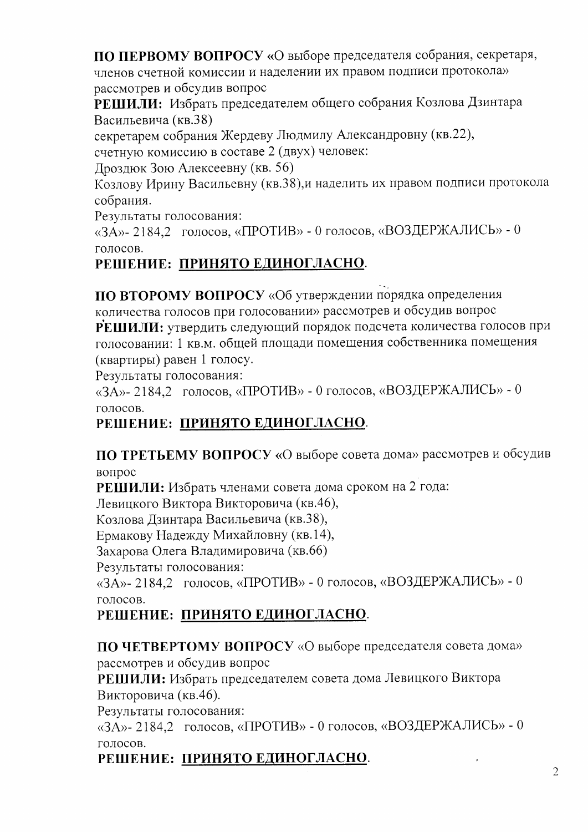ПО ПЕРВОМУ ВОПРОСУ «О выборе председателя собрания, секретаря, членов счетной комиссии и наделении их правом подписи протокола» рассмотрев и обсудив вопрос

РЕШИЛИ: Избрать председателем общего собрания Козлова Дзинтара Васильевича (кв.38)

секретарем собрания Жердеву Людмилу Александровну (кв.22),

счетную комиссию в составе 2 (двух) человек:

Лроздюк Зою Алексеевну (кв. 56)

Козлову Ирину Васильевну (кв.38), и наделить их правом подписи протокола собрания.

Результаты голосования:

«ЗА»-2184,2 голосов, «ПРОТИВ» - 0 голосов, «ВОЗДЕРЖАЛИСЬ» - 0 голосов.

# РЕШЕНИЕ: ПРИНЯТО ЕДИНОГЛАСНО.

ПО ВТОРОМУ ВОПРОСУ «Об утверждении порядка определения

количества голосов при голосовании» рассмотрев и обсудив вопрос РЕШИЛИ: утвердить следующий порядок подсчета количества голосов при голосовании: 1 кв.м. общей площади помещения собственника помещения (квартиры) равен 1 голосу.

Результаты голосования:

«ЗА»-2184,2 голосов, «ПРОТИВ» - 0 голосов, «ВОЗДЕРЖАЛИСЬ» - 0 голосов.

## РЕШЕНИЕ: ПРИНЯТО ЕДИНОГЛАСНО.

ПО ТРЕТЬЕМУ ВОПРОСУ «О выборе совета дома» рассмотрев и обсудив вопрос

РЕШИЛИ: Избрать членами совета дома сроком на 2 года:

Левицкого Виктора Викторовича (кв.46),

Козлова Дзинтара Васильевича (кв.38),

Ермакову Надежду Михайловну (кв.14),

Захарова Олега Владимировича (кв.66)

Результаты голосования:

«ЗА»-2184,2 голосов, «ПРОТИВ» - 0 голосов, «ВОЗДЕРЖАЛИСЬ» - 0 голосов.

# РЕШЕНИЕ: ПРИНЯТО ЕДИНОГЛАСНО.

ПО ЧЕТВЕРТОМУ ВОПРОСУ «О выборе председателя совета дома» рассмотрев и обсудив вопрос

РЕШИЛИ: Избрать председателем совета дома Левицкого Виктора Викторовича (кв.46).

Результаты голосования:

«ЗА»-2184,2 голосов, «ПРОТИВ» - 0 голосов, «ВОЗДЕРЖАЛИСЬ» - 0 голосов.

### РЕШЕНИЕ: ПРИНЯТО ЕДИНОГЛАСНО.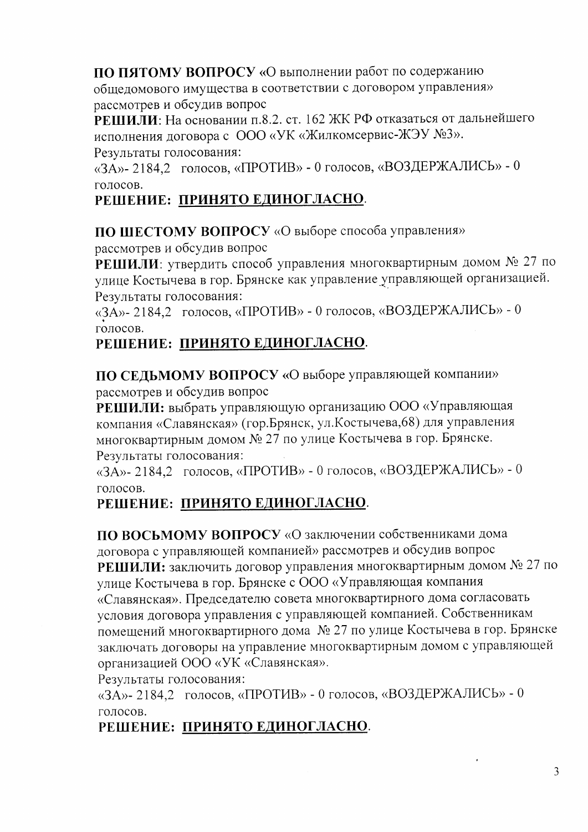ПО ПЯТОМУ ВОПРОСУ «О выполнении работ по содержанию общедомового имущества в соответствии с договором управления» рассмотрев и обсудив вопрос

РЕШИЛИ: На основании п.8.2. ст. 162 ЖК РФ отказаться от дальнейшего исполнения договора с ООО «УК «Жилкомсервис-ЖЭУ №3». Результаты голосования:

«ЗА»- 2184,2 голосов, «ПРОТИВ» - 0 голосов, «ВОЗДЕРЖАЛИСЬ» - 0 голосов.

#### РЕШЕНИЕ: ПРИНЯТО ЕДИНОГЛАСНО.

ПО ШЕСТОМУ ВОПРОСУ «О выборе способа управления»

рассмотрев и обсудив вопрос

РЕШИЛИ: утвердить способ управления многоквартирным домом № 27 по улице Костычева в гор. Брянске как управление управляющей организацией. Результаты голосования:

«ЗА»-2184,2 голосов, «ПРОТИВ» - 0 голосов, «ВОЗДЕРЖАЛИСЬ» - 0 голосов.

#### РЕШЕНИЕ: ПРИНЯТО ЕДИНОГЛАСНО.

ПО СЕДЬМОМУ ВОПРОСУ «О выборе управляющей компании» рассмотрев и обсудив вопрос

РЕШИЛИ: выбрать управляющую организацию ООО «Управляющая компания «Славянская» (гор. Брянск, ул. Костычева, 68) для управления многоквартирным домом № 27 по улице Костычева в гор. Брянске. Результаты голосования:

«ЗА»-2184,2 голосов, «ПРОТИВ» - 0 голосов, «ВОЗДЕРЖАЛИСЬ» - 0 голосов.

### РЕШЕНИЕ: ПРИНЯТО ЕДИНОГЛАСНО.

ПО ВОСЬМОМУ ВОПРОСУ «О заключении собственниками дома договора с управляющей компанией» рассмотрев и обсудив вопрос РЕШИЛИ: заключить договор управления многоквартирным домом № 27 по улице Костычева в гор. Брянске с ООО «Управляющая компания «Славянская». Председателю совета многоквартирного дома согласовать условия договора управления с управляющей компанией. Собственникам помещений многоквартирного дома № 27 по улице Костычева в гор. Брянске заключать договоры на управление многоквартирным домом с управляющей организацией ООО «УК «Славянская».

Результаты голосования:

«ЗА»-2184,2 голосов, «ПРОТИВ» - 0 голосов, «ВОЗДЕРЖАЛИСЬ» - 0 голосов.

### РЕШЕНИЕ: ПРИНЯТО ЕДИНОГЛАСНО.